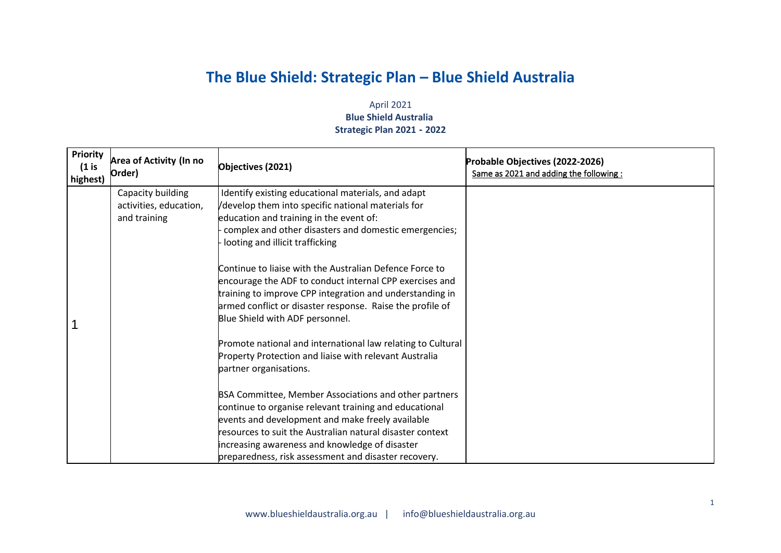## **The Blue Shield: Strategic Plan – Blue Shield Australia**

## April 2021 **Blue Shield Australia Strategic Plan 2021 - 2022**

| <b>Priority</b><br>$(1$ is<br>highest) | <b>Area of Activity (In no</b><br>Order)                    | Objectives (2021)                                                                                                                                                                                                                                                                                                                          | Probable Objectives (2022-2026)<br>Same as 2021 and adding the following: |
|----------------------------------------|-------------------------------------------------------------|--------------------------------------------------------------------------------------------------------------------------------------------------------------------------------------------------------------------------------------------------------------------------------------------------------------------------------------------|---------------------------------------------------------------------------|
|                                        | Capacity building<br>activities, education,<br>and training | Identify existing educational materials, and adapt<br>/develop them into specific national materials for<br>education and training in the event of:<br>complex and other disasters and domestic emergencies;<br>looting and illicit trafficking                                                                                            |                                                                           |
|                                        |                                                             | Continue to liaise with the Australian Defence Force to<br>encourage the ADF to conduct internal CPP exercises and<br>training to improve CPP integration and understanding in<br>armed conflict or disaster response. Raise the profile of<br>Blue Shield with ADF personnel.                                                             |                                                                           |
|                                        |                                                             | Promote national and international law relating to Cultural<br>Property Protection and liaise with relevant Australia<br>partner organisations.                                                                                                                                                                                            |                                                                           |
|                                        |                                                             | BSA Committee, Member Associations and other partners<br>continue to organise relevant training and educational<br>events and development and make freely available<br>resources to suit the Australian natural disaster context<br>increasing awareness and knowledge of disaster<br>preparedness, risk assessment and disaster recovery. |                                                                           |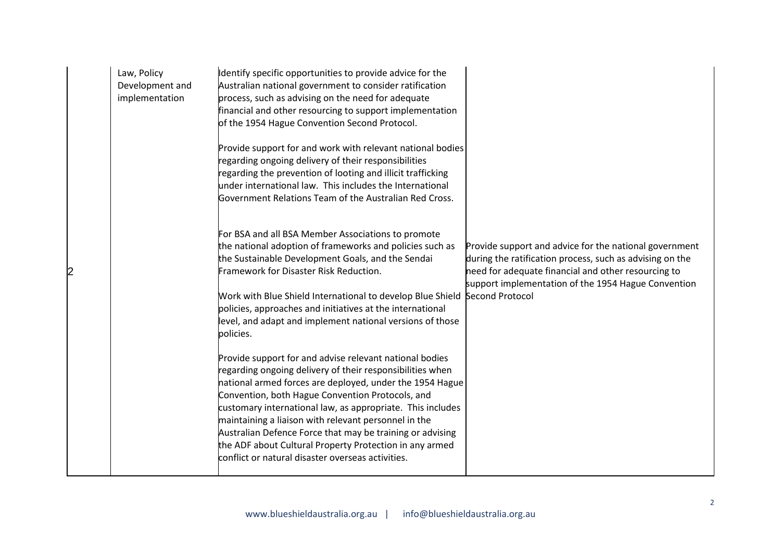| Law, Policy<br>Development and<br>implementation | dentify specific opportunities to provide advice for the<br>Australian national government to consider ratification<br>process, such as advising on the need for adequate<br>financial and other resourcing to support implementation<br>of the 1954 Hague Convention Second Protocol.<br>Provide support for and work with relevant national bodies<br>regarding ongoing delivery of their responsibilities<br>regarding the prevention of looting and illicit trafficking<br>under international law. This includes the International<br>Government Relations Team of the Australian Red Cross. |                                                                                                                                                                                                                                                     |
|--------------------------------------------------|---------------------------------------------------------------------------------------------------------------------------------------------------------------------------------------------------------------------------------------------------------------------------------------------------------------------------------------------------------------------------------------------------------------------------------------------------------------------------------------------------------------------------------------------------------------------------------------------------|-----------------------------------------------------------------------------------------------------------------------------------------------------------------------------------------------------------------------------------------------------|
|                                                  | For BSA and all BSA Member Associations to promote<br>the national adoption of frameworks and policies such as<br>the Sustainable Development Goals, and the Sendai<br>Framework for Disaster Risk Reduction.<br>Work with Blue Shield International to develop Blue Shield<br>policies, approaches and initiatives at the international<br>level, and adapt and implement national versions of those<br>policies.                                                                                                                                                                                | Provide support and advice for the national government<br>during the ratification process, such as advising on the<br>need for adequate financial and other resourcing to<br>support implementation of the 1954 Hague Convention<br>Second Protocol |
|                                                  | Provide support for and advise relevant national bodies<br>regarding ongoing delivery of their responsibilities when<br>national armed forces are deployed, under the 1954 Hague<br>Convention, both Hague Convention Protocols, and<br>customary international law, as appropriate. This includes<br>maintaining a liaison with relevant personnel in the<br>Australian Defence Force that may be training or advising<br>the ADF about Cultural Property Protection in any armed<br>conflict or natural disaster overseas activities.                                                           |                                                                                                                                                                                                                                                     |

2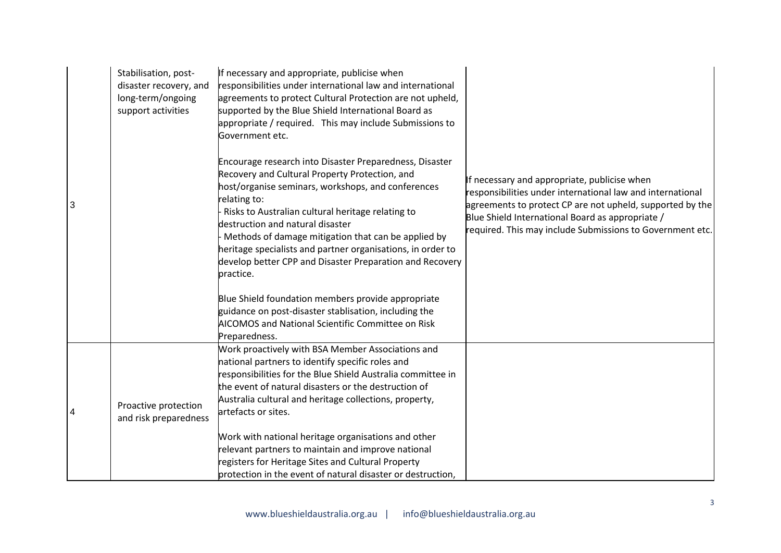|   | Stabilisation, post-<br>disaster recovery, and<br>long-term/ongoing<br>support activities | If necessary and appropriate, publicise when<br>responsibilities under international law and international<br>agreements to protect Cultural Protection are not upheld,<br>supported by the Blue Shield International Board as<br>appropriate / required. This may include Submissions to<br>Government etc.                                                                                                                                                            |                                                                                                                                                                                                                                                                                          |
|---|-------------------------------------------------------------------------------------------|-------------------------------------------------------------------------------------------------------------------------------------------------------------------------------------------------------------------------------------------------------------------------------------------------------------------------------------------------------------------------------------------------------------------------------------------------------------------------|------------------------------------------------------------------------------------------------------------------------------------------------------------------------------------------------------------------------------------------------------------------------------------------|
| 3 |                                                                                           | Encourage research into Disaster Preparedness, Disaster<br>Recovery and Cultural Property Protection, and<br>host/organise seminars, workshops, and conferences<br>relating to:<br>Risks to Australian cultural heritage relating to<br>destruction and natural disaster<br>Methods of damage mitigation that can be applied by<br>heritage specialists and partner organisations, in order to<br>develop better CPP and Disaster Preparation and Recovery<br>practice. | If necessary and appropriate, publicise when<br>responsibilities under international law and international<br>agreements to protect CP are not upheld, supported by the<br>Blue Shield International Board as appropriate /<br>required. This may include Submissions to Government etc. |
|   |                                                                                           | Blue Shield foundation members provide appropriate<br>guidance on post-disaster stablisation, including the<br>AICOMOS and National Scientific Committee on Risk<br>Preparedness.                                                                                                                                                                                                                                                                                       |                                                                                                                                                                                                                                                                                          |
| 4 | Proactive protection<br>and risk preparedness                                             | Work proactively with BSA Member Associations and<br>national partners to identify specific roles and<br>responsibilities for the Blue Shield Australia committee in<br>the event of natural disasters or the destruction of<br>Australia cultural and heritage collections, property,<br>artefacts or sites.                                                                                                                                                           |                                                                                                                                                                                                                                                                                          |
|   |                                                                                           | Work with national heritage organisations and other<br>relevant partners to maintain and improve national<br>registers for Heritage Sites and Cultural Property<br>protection in the event of natural disaster or destruction,                                                                                                                                                                                                                                          |                                                                                                                                                                                                                                                                                          |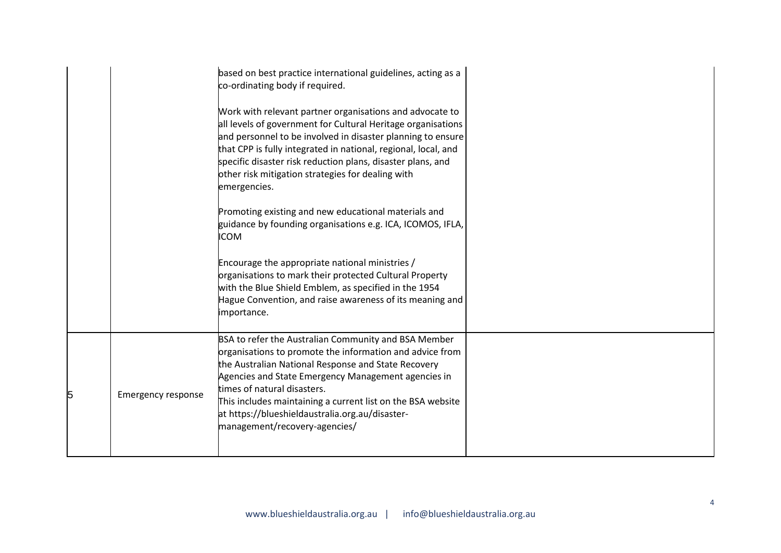|  | based on best practice international guidelines, acting as a<br>co-ordinating body if required.                                                                                                                                                                                                                                                                                               |  |
|--|-----------------------------------------------------------------------------------------------------------------------------------------------------------------------------------------------------------------------------------------------------------------------------------------------------------------------------------------------------------------------------------------------|--|
|  | Work with relevant partner organisations and advocate to<br>all levels of government for Cultural Heritage organisations<br>and personnel to be involved in disaster planning to ensure<br>that CPP is fully integrated in national, regional, local, and<br>specific disaster risk reduction plans, disaster plans, and<br>other risk mitigation strategies for dealing with<br>emergencies. |  |
|  | Promoting existing and new educational materials and<br>guidance by founding organisations e.g. ICA, ICOMOS, IFLA,<br><b>ICOM</b>                                                                                                                                                                                                                                                             |  |
|  | Encourage the appropriate national ministries /<br>organisations to mark their protected Cultural Property<br>with the Blue Shield Emblem, as specified in the 1954<br>Hague Convention, and raise awareness of its meaning and<br>importance.                                                                                                                                                |  |
|  | BSA to refer the Australian Community and BSA Member<br>organisations to promote the information and advice from<br>the Australian National Response and State Recovery<br>Agencies and State Emergency Management agencies in                                                                                                                                                                |  |